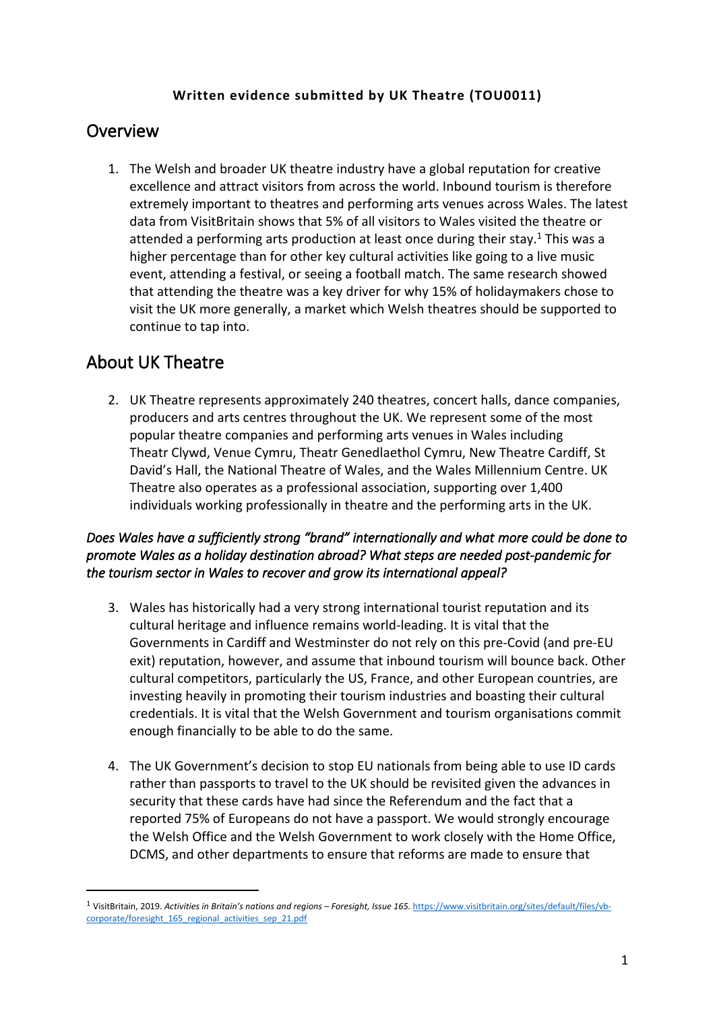## **Written evidence submitted by UK Theatre (TOU0011)**

## **Overview**

1. The Welsh and broader UK theatre industry have a global reputation for creative excellence and attract visitors from across the world. Inbound tourism is therefore extremely important to theatres and performing arts venues across Wales. The latest data from VisitBritain shows that 5% of all visitors to Wales visited the theatre or attended a performing arts production at least once during their stay.<sup>1</sup> This was a higher percentage than for other key cultural activities like going to a live music event, attending a festival, or seeing a football match. The same research showed that attending the theatre was a key driver for why 15% of holidaymakers chose to visit the UK more generally, a market which Welsh theatres should be supported to continue to tap into.

# **About UK Theatre**

2. UK Theatre represents approximately 240 theatres, concert halls, dance companies, producers and arts centres throughout the UK. We represent some of the most popular theatre companies and performing arts venues in Wales including Theatr Clywd, Venue Cymru, Theatr Genedlaethol Cymru, New Theatre Cardiff, St David's Hall, the National Theatre of Wales, and the Wales Millennium Centre. UK Theatre also operates as a professional association, supporting over 1,400 individuals working professionally in theatre and the performing arts in the UK.

## *Does Wales have a sufficiently strong "brand" internationally and what more could be done to promote Wales as a holiday destination abroad? What steps are needed post-pandemic for the tourism sector in Wales to recover and grow its international appeal?*

- 3. Wales has historically had a very strong international tourist reputation and its cultural heritage and influence remains world-leading. It is vital that the Governments in Cardiff and Westminster do not rely on this pre-Covid (and pre-EU exit) reputation, however, and assume that inbound tourism will bounce back. Other cultural competitors, particularly the US, France, and other European countries, are investing heavily in promoting their tourism industries and boasting their cultural credentials. It is vital that the Welsh Government and tourism organisations commit enough financially to be able to do the same.
- 4. The UK Government's decision to stop EU nationals from being able to use ID cards rather than passports to travel to the UK should be revisited given the advances in security that these cards have had since the Referendum and the fact that a reported 75% of Europeans do not have a passport. We would strongly encourage the Welsh Office and the Welsh Government to work closely with the Home Office, DCMS, and other departments to ensure that reforms are made to ensure that

<sup>1</sup> VisitBritain, 2019. *Activities in Britain's nations and regions – Foresight, Issue 165.* [https://www.visitbritain.org/sites/default/files/vb](https://www.visitbritain.org/sites/default/files/vb-corporate/foresight_165_regional_activities_sep_21.pdf)[corporate/foresight\\_165\\_regional\\_activities\\_sep\\_21.pdf](https://www.visitbritain.org/sites/default/files/vb-corporate/foresight_165_regional_activities_sep_21.pdf)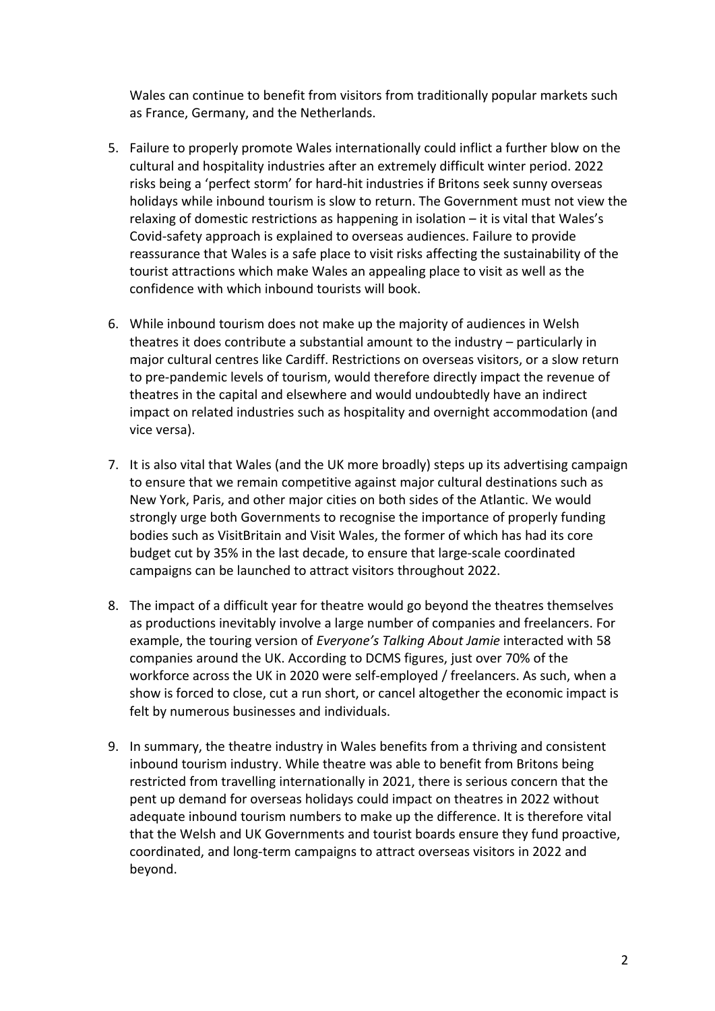Wales can continue to benefit from visitors from traditionally popular markets such as France, Germany, and the Netherlands.

- 5. Failure to properly promote Wales internationally could inflict a further blow on the cultural and hospitality industries after an extremely difficult winter period. 2022 risks being a 'perfect storm' for hard-hit industries if Britons seek sunny overseas holidays while inbound tourism is slow to return. The Government must not view the relaxing of domestic restrictions as happening in isolation – it is vital that Wales's Covid-safety approach is explained to overseas audiences. Failure to provide reassurance that Wales is a safe place to visit risks affecting the sustainability of the tourist attractions which make Wales an appealing place to visit as well as the confidence with which inbound tourists will book.
- 6. While inbound tourism does not make up the majority of audiences in Welsh theatres it does contribute a substantial amount to the industry – particularly in major cultural centres like Cardiff. Restrictions on overseas visitors, or a slow return to pre-pandemic levels of tourism, would therefore directly impact the revenue of theatres in the capital and elsewhere and would undoubtedly have an indirect impact on related industries such as hospitality and overnight accommodation (and vice versa).
- 7. It is also vital that Wales (and the UK more broadly) steps up its advertising campaign to ensure that we remain competitive against major cultural destinations such as New York, Paris, and other major cities on both sides of the Atlantic. We would strongly urge both Governments to recognise the importance of properly funding bodies such as VisitBritain and Visit Wales, the former of which has had its core budget cut by 35% in the last decade, to ensure that large-scale coordinated campaigns can be launched to attract visitors throughout 2022.
- 8. The impact of a difficult year for theatre would go beyond the theatres themselves as productions inevitably involve a large number of companies and freelancers. For example, the touring version of *Everyone's Talking About Jamie* interacted with 58 companies around the UK. According to DCMS figures, just over 70% of the workforce across the UK in 2020 were self-employed / freelancers. As such, when a show is forced to close, cut a run short, or cancel altogether the economic impact is felt by numerous businesses and individuals.
- 9. In summary, the theatre industry in Wales benefits from a thriving and consistent inbound tourism industry. While theatre was able to benefit from Britons being restricted from travelling internationally in 2021, there is serious concern that the pent up demand for overseas holidays could impact on theatres in 2022 without adequate inbound tourism numbers to make up the difference. It is therefore vital that the Welsh and UK Governments and tourist boards ensure they fund proactive, coordinated, and long-term campaigns to attract overseas visitors in 2022 and beyond.